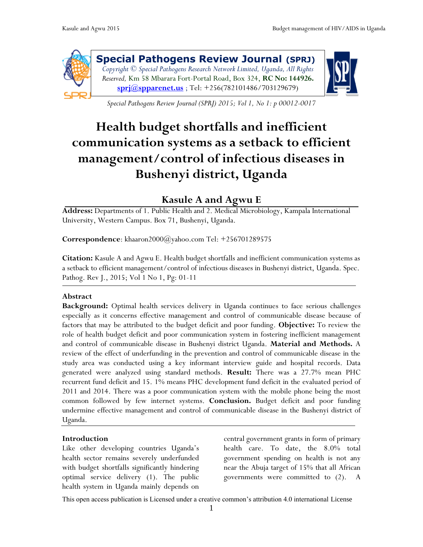

**Special Pathogens Review Journal (SPRJ)** *Copyright © Special Pathogens Research Network Limited, Uganda, All Rights Reserved,* Km 58 Mbarara Fort-Portal Road, Box 324, **RC No: 144926. [sprj@spparenet.us](mailto:sprj@spparenet.us)** ; Tel: +256(782101486/703129679)



*Special Pathogens Review Journal (SPRJ) 2015; Vol 1, No 1: p 00012-0017*

# **Health budget shortfalls and inefficient communication systems as a setback to efficient management/control of infectious diseases in Bushenyi district, Uganda**

# **Kasule A and Agwu E**

**Address:** Departments of 1. Public Health and 2. Medical Microbiology, Kampala International University, Western Campus. Box 71, Bushenyi, Uganda.

**Correspondence**: khaaron2000@yahoo.com Tel: +256701289575

**Citation:** Kasule A and Agwu E. Health budget shortfalls and inefficient communication systems as a setback to efficient management/control of infectious diseases in Bushenyi district, Uganda. Spec. Pathog. Rev J., 2015; Vol 1 No 1, Pg: 01-11

#### **Abstract**

**Background:** Optimal health services delivery in Uganda continues to face serious challenges especially as it concerns effective management and control of communicable disease because of factors that may be attributed to the budget deficit and poor funding. **Objective:** To review the role of health budget deficit and poor communication system in fostering inefficient management and control of communicable disease in Bushenyi district Uganda. **Material and Methods.** A review of the effect of underfunding in the prevention and control of communicable disease in the study area was conducted using a key informant interview guide and hospital records. Data generated were analyzed using standard methods. **Result:** There was a 27.7% mean PHC recurrent fund deficit and 15. 1% means PHC development fund deficit in the evaluated period of 2011 and 2014. There was a poor communication system with the mobile phone being the most common followed by few internet systems. **Conclusion.** Budget deficit and poor funding undermine effective management and control of communicable disease in the Bushenyi district of Uganda.

#### **Introduction**

Like other developing countries Uganda's health sector remains severely underfunded with budget shortfalls significantly hindering optimal service delivery (1). The public health system in Uganda mainly depends on

central government grants in form of primary health care. To date, the 8.0% total government spending on health is not any near the Abuja target of 15% that all African governments were committed to (2). A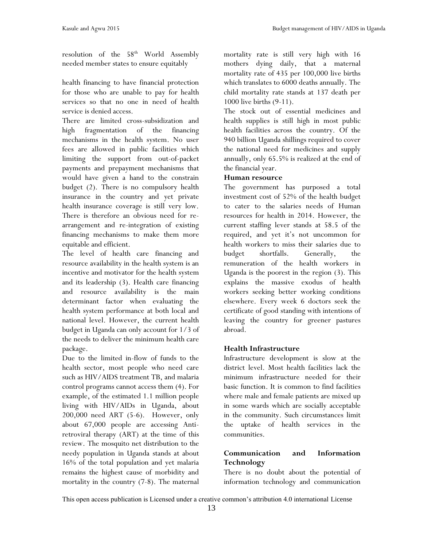resolution of the  $58<sup>th</sup>$  World Assembly needed member states to ensure equitably

health financing to have financial protection for those who are unable to pay for health services so that no one in need of health service is denied access.

There are limited cross-subsidization and high fragmentation of the financing mechanisms in the health system. No user fees are allowed in public facilities which limiting the support from out-of-packet payments and prepayment mechanisms that would have given a hand to the constrain budget (2). There is no compulsory health insurance in the country and yet private health insurance coverage is still very low. There is therefore an obvious need for rearrangement and re-integration of existing financing mechanisms to make them more equitable and efficient.

The level of health care financing and resource availability in the health system is an incentive and motivator for the health system and its leadership (3). Health care financing and resource availability is the main determinant factor when evaluating the health system performance at both local and national level. However, the current health budget in Uganda can only account for 1/3 of the needs to deliver the minimum health care package.

Due to the limited in-flow of funds to the health sector, most people who need care such as HIV/AIDS treatment TB, and malaria control programs cannot access them (4). For example, of the estimated 1.1 million people living with HIV/AIDs in Uganda, about 200,000 need ART (5-6). However, only about 67,000 people are accessing Antiretroviral therapy (ART) at the time of this review. The mosquito net distribution to the needy population in Uganda stands at about 16% of the total population and yet malaria remains the highest cause of morbidity and mortality in the country (7-8). The maternal mortality rate is still very high with 16 mothers dying daily, that a maternal mortality rate of 435 per 100,000 live births which translates to 6000 deaths annually. The child mortality rate stands at 137 death per 1000 live births (9-11).

The stock out of essential medicines and health supplies is still high in most public health facilities across the country. Of the 940 billion Uganda shillings required to cover the national need for medicines and supply annually, only 65.5% is realized at the end of the financial year.

#### **Human resource**

The government has purposed a total investment cost of 52% of the health budget to cater to the salaries needs of Human resources for health in 2014. However, the current staffing lever stands at 58.5 of the required, and yet it's not uncommon for health workers to miss their salaries due to budget shortfalls. Generally, the remuneration of the health workers in Uganda is the poorest in the region (3). This explains the massive exodus of health workers seeking better working conditions elsewhere. Every week 6 doctors seek the certificate of good standing with intentions of leaving the country for greener pastures abroad.

#### **Health Infrastructure**

Infrastructure development is slow at the district level. Most health facilities lack the minimum infrastructure needed for their basic function. It is common to find facilities where male and female patients are mixed up in some wards which are socially acceptable in the community. Such circumstances limit the uptake of health services in the communities.

### **Communication and Information Technology**

There is no doubt about the potential of information technology and communication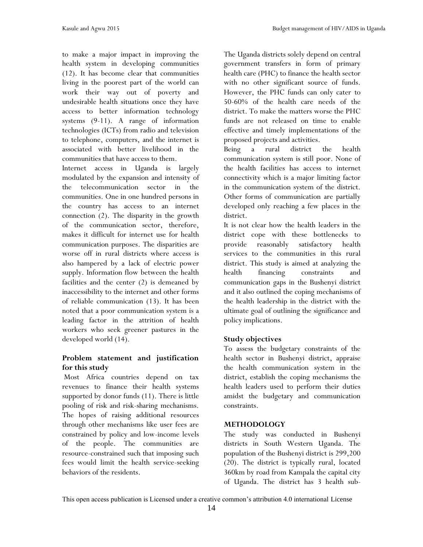to make a major impact in improving the health system in developing communities (12). It has become clear that communities living in the poorest part of the world can work their way out of poverty and undesirable health situations once they have access to better information technology systems (9-11). A range of information technologies (ICTs) from radio and television to telephone, computers, and the internet is associated with better livelihood in the communities that have access to them.

Internet access in Uganda is largely modulated by the expansion and intensity of the telecommunication sector in the communities. One in one hundred persons in the country has access to an internet connection (2). The disparity in the growth of the communication sector, therefore, makes it difficult for internet use for health communication purposes. The disparities are worse off in rural districts where access is also hampered by a lack of electric power supply. Information flow between the health facilities and the center (2) is demeaned by inaccessibility to the internet and other forms of reliable communication (13). It has been noted that a poor communication system is a leading factor in the attrition of health workers who seek greener pastures in the developed world (14).

### **Problem statement and justification for this study**

Most Africa countries depend on tax revenues to finance their health systems supported by donor funds (11). There is little pooling of risk and risk-sharing mechanisms. The hopes of raising additional resources through other mechanisms like user fees are constrained by policy and low-income levels of the people. The communities are resource-constrained such that imposing such fees would limit the health service-seeking behaviors of the residents.

The Uganda districts solely depend on central government transfers in form of primary health care (PHC) to finance the health sector with no other significant source of funds. However, the PHC funds can only cater to 50-60% of the health care needs of the district. To make the matters worse the PHC funds are not released on time to enable effective and timely implementations of the proposed projects and activities.

Being a rural district the health communication system is still poor. None of the health facilities has access to internet connectivity which is a major limiting factor in the communication system of the district. Other forms of communication are partially developed only reaching a few places in the district.

It is not clear how the health leaders in the district cope with these bottlenecks to provide reasonably satisfactory health services to the communities in this rural district. This study is aimed at analyzing the health financing constraints and communication gaps in the Bushenyi district and it also outlined the coping mechanisms of the health leadership in the district with the ultimate goal of outlining the significance and policy implications.

#### **Study objectives**

To assess the budgetary constraints of the health sector in Bushenyi district, appraise the health communication system in the district, establish the coping mechanisms the health leaders used to perform their duties amidst the budgetary and communication constraints.

#### **METHODOLOGY**

The study was conducted in Bushenyi districts in South Western Uganda. The population of the Bushenyi district is 299,200 (20). The district is typically rural, located 360km by road from Kampala the capital city of Uganda. The district has 3 health sub-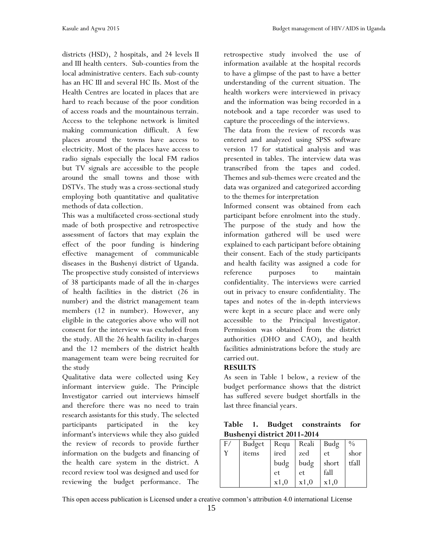districts (HSD), 2 hospitals, and 24 levels II and III health centers. Sub-counties from the local administrative centers. Each sub-county has an HC III and several HC IIs. Most of the Health Centres are located in places that are hard to reach because of the poor condition of access roads and the mountainous terrain. Access to the telephone network is limited making communication difficult. A few places around the towns have access to electricity. Most of the places have access to radio signals especially the local FM radios but TV signals are accessible to the people around the small towns and those with DSTVs. The study was a cross-sectional study employing both quantitative and qualitative methods of data collection.

This was a multifaceted cross-sectional study made of both prospective and retrospective assessment of factors that may explain the effect of the poor funding is hindering effective management of communicable diseases in the Bushenyi district of Uganda. The prospective study consisted of interviews of 38 participants made of all the in-charges of health facilities in the district (26 in number) and the district management team members (12 in number). However, any eligible in the categories above who will not consent for the interview was excluded from the study. All the 26 health facility in-charges and the 12 members of the district health management team were being recruited for the study

Qualitative data were collected using Key informant interview guide. The Principle Investigator carried out interviews himself and therefore there was no need to train research assistants for this study. The selected participants participated in the key informant's interviews while they also guided the review of records to provide further information on the budgets and financing of the health care system in the district. A record review tool was designed and used for reviewing the budget performance. The retrospective study involved the use of information available at the hospital records to have a glimpse of the past to have a better understanding of the current situation. The health workers were interviewed in privacy and the information was being recorded in a notebook and a tape recorder was used to capture the proceedings of the interviews.

The data from the review of records was entered and analyzed using SPSS software version 17 for statistical analysis and was presented in tables. The interview data was transcribed from the tapes and coded. Themes and sub-themes were created and the data was organized and categorized according to the themes for interpretation

Informed consent was obtained from each participant before enrolment into the study. The purpose of the study and how the information gathered will be used were explained to each participant before obtaining their consent. Each of the study participants and health facility was assigned a code for reference purposes to maintain confidentiality. The interviews were carried out in privacy to ensure confidentiality. The tapes and notes of the in-depth interviews were kept in a secure place and were only accessible to the Principal Investigator. Permission was obtained from the district authorities (DHO and CAO), and health facilities administrations before the study are carried out.

# **RESULTS**

As seen in Table 1 below, a review of the budget performance shows that the district has suffered severe budget shortfalls in the last three financial years.

|  |                             | Table 1. Budget constraints for |  |
|--|-----------------------------|---------------------------------|--|
|  | Bushenyi district 2011-2014 |                                 |  |

| F/ | Budget | Requ | Reali | Budg  | $\frac{0}{0}$ |
|----|--------|------|-------|-------|---------------|
|    | items  | ired | zed   | et    | shor          |
|    |        | budg | budg  | short | tfall         |
|    |        | et   | et    | fall  |               |
|    |        | x1,0 | x1,0  | x1,0  |               |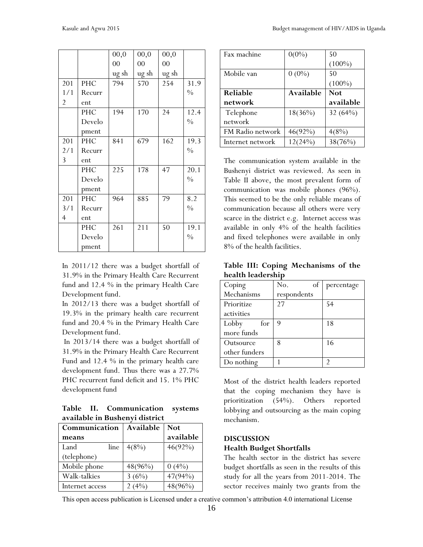|                |            | 00,0  | 00,0   | 00,0  |               |
|----------------|------------|-------|--------|-------|---------------|
|                |            | 00    | $00\,$ | 00    |               |
|                |            | ug sh | ug sh  | ug sh |               |
| 201            | PHC        | 794   | 570    | 254   | 31.9          |
| 1/1            | Recurr     |       |        |       | $\frac{0}{0}$ |
| 2              | ent        |       |        |       |               |
|                | PHC        | 194   | 170    | 24    | 12.4          |
|                | Develo     |       |        |       | $\frac{0}{0}$ |
|                | pment      |       |        |       |               |
| 201            | <b>PHC</b> | 841   | 679    | 162   | 19.3          |
| 2/1            | Recurr     |       |        |       | $\frac{0}{0}$ |
| 3              | ent        |       |        |       |               |
|                | PHC        | 225   | 178    | 47    | 20.1          |
|                | Develo     |       |        |       | $\frac{0}{0}$ |
|                | pment      |       |        |       |               |
| 201            | <b>PHC</b> | 964   | 885    | 79    | 8.2           |
| 3/1            | Recurr     |       |        |       | $\frac{0}{0}$ |
| $\overline{4}$ | ent        |       |        |       |               |
|                | PHC        | 261   | 211    | 50    | 19.1          |
|                | Develo     |       |        |       | $\frac{0}{0}$ |
|                | pment      |       |        |       |               |

In 2011/12 there was a budget shortfall of 31.9% in the Primary Health Care Recurrent fund and 12.4 % in the primary Health Care Development fund.

In 2012/13 there was a budget shortfall of 19.3% in the primary health care recurrent fund and 20.4 % in the Primary Health Care Development fund.

In 2013/14 there was a budget shortfall of 31.9% in the Primary Health Care Recurrent Fund and 12.4 % in the primary health care development fund. Thus there was a 27.7% PHC recurrent fund deficit and 15. 1% PHC development fund

**Table II. Communication systems available in Bushenyi district**

| Communication   | Available  | <b>Not</b> |
|-----------------|------------|------------|
| means           |            | available  |
| Land<br>line    | 4(8%)      | $46(92\%)$ |
| (telephone)     |            |            |
| Mobile phone    | $48(96\%)$ | $0(4\%)$   |
| Walk-talkies    | 3(6%)      | 47(94%)    |
| Internet access | $(4\%)$    | 48(96%)    |

| Fax machine      | $0(0\%)$   | 50         |
|------------------|------------|------------|
|                  |            | $(100\%)$  |
| Mobile van       | $0(0\%)$   | 50         |
|                  |            | $(100\%)$  |
| <b>Reliable</b>  | Available  | <b>Not</b> |
|                  |            |            |
| network          |            | available  |
| Telephone        | $18(36\%)$ | 32 $(64%)$ |
| network          |            |            |
| FM Radio network | $46(92\%)$ | 4(8%)      |

The communication system available in the Bushenyi district was reviewed. As seen in Table II above, the most prevalent form of communication was mobile phones (96%). This seemed to be the only reliable means of communication because all others were very scarce in the district e.g. Internet access was available in only 4% of the health facilities and fixed telephones were available in only 8% of the health facilities.

**Table III: Coping Mechanisms of the health leadership**

| Coping        | of<br>No.   | percentage |
|---------------|-------------|------------|
| Mechanisms    | respondents |            |
| Prioritize    | 27          | 54         |
| activities    |             |            |
| Lobby<br>for  | 9           | 18         |
| more funds    |             |            |
| Outsource     | 8           | 16         |
| other funders |             |            |
| Do nothing    |             |            |

Most of the district health leaders reported that the coping mechanism they have is prioritization (54%). Others reported lobbying and outsourcing as the main coping mechanism.

#### **DISCUSSION**

#### **Health Budget Shortfalls**

The health sector in the district has severe budget shortfalls as seen in the results of this study for all the years from 2011-2014. The sector receives mainly two grants from the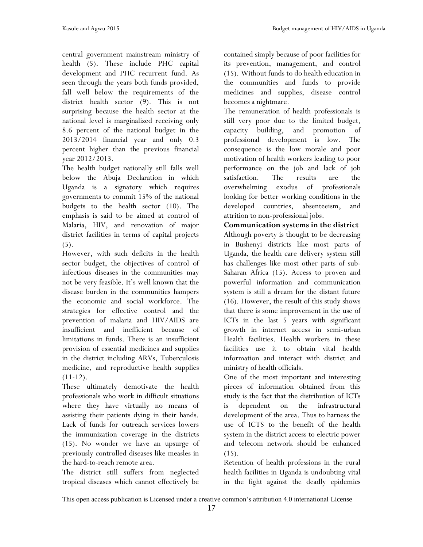central government mainstream ministry of health (5). These include PHC capital development and PHC recurrent fund. As seen through the years both funds provided, fall well below the requirements of the district health sector (9). This is not surprising because the health sector at the national level is marginalized receiving only 8.6 percent of the national budget in the 2013/2014 financial year and only 0.3 percent higher than the previous financial year 2012/2013.

The health budget nationally still falls well below the Abuja Declaration in which Uganda is a signatory which requires governments to commit 15% of the national budgets to the health sector (10). The emphasis is said to be aimed at control of Malaria, HIV, and renovation of major district facilities in terms of capital projects (5).

However, with such deficits in the health sector budget, the objectives of control of infectious diseases in the communities may not be very feasible. It's well known that the disease burden in the communities hampers the economic and social workforce. The strategies for effective control and the prevention of malaria and HIV/AIDS are insufficient and inefficient because of limitations in funds. There is an insufficient provision of essential medicines and supplies in the district including ARVs, Tuberculosis medicine, and reproductive health supplies  $(11-12)$ .

These ultimately demotivate the health professionals who work in difficult situations where they have virtually no means of assisting their patients dying in their hands. Lack of funds for outreach services lowers the immunization coverage in the districts (15). No wonder we have an upsurge of previously controlled diseases like measles in the hard-to-reach remote area.

The district still suffers from neglected tropical diseases which cannot effectively be contained simply because of poor facilities for its prevention, management, and control (15). Without funds to do health education in the communities and funds to provide medicines and supplies, disease control becomes a nightmare.

The remuneration of health professionals is still very poor due to the limited budget, capacity building, and promotion of professional development is low. The consequence is the low morale and poor motivation of health workers leading to poor performance on the job and lack of job satisfaction. The results are the overwhelming exodus of professionals looking for better working conditions in the developed countries, absenteeism, and attrition to non-professional jobs.

**Communication systems in the district** Although poverty is thought to be decreasing in Bushenyi districts like most parts of Uganda, the health care delivery system still has challenges like most other parts of sub-Saharan Africa (15). Access to proven and powerful information and communication system is still a dream for the distant future (16). However, the result of this study shows that there is some improvement in the use of ICTs in the last 5 years with significant growth in internet access in semi-urban Health facilities. Health workers in these facilities use it to obtain vital health information and interact with district and ministry of health officials.

One of the most important and interesting pieces of information obtained from this study is the fact that the distribution of ICTs is dependent on the infrastructural development of the area. Thus to harness the use of ICTS to the benefit of the health system in the district access to electric power and telecom network should be enhanced  $(15)$ .

Retention of health professions in the rural health facilities in Uganda is undoubting vital in the fight against the deadly epidemics

This open access publication is Licensed under a creative common's attribution 4.0 international License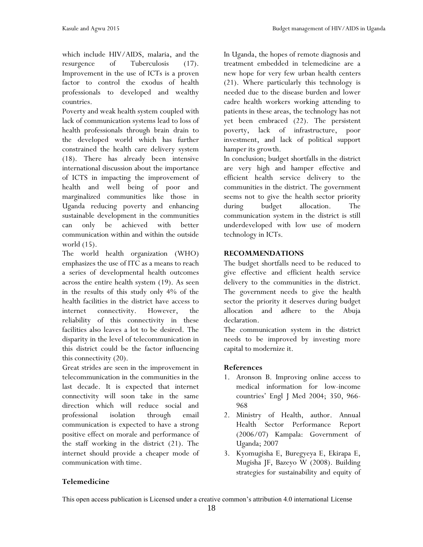which include HIV/AIDS, malaria, and the resurgence of Tuberculosis (17). Improvement in the use of ICTs is a proven factor to control the exodus of health professionals to developed and wealthy countries.

Poverty and weak health system coupled with lack of communication systems lead to loss of health professionals through brain drain to the developed world which has further constrained the health care delivery system (18). There has already been intensive international discussion about the importance of ICTS in impacting the improvement of health and well being of poor and marginalized communities like those in Uganda reducing poverty and enhancing sustainable development in the communities can only be achieved with better communication within and within the outside world (15).

The world health organization (WHO) emphasizes the use of ITC as a means to reach a series of developmental health outcomes across the entire health system (19). As seen in the results of this study only 4% of the health facilities in the district have access to internet connectivity. However, the reliability of this connectivity in these facilities also leaves a lot to be desired. The disparity in the level of telecommunication in this district could be the factor influencing this connectivity (20).

Great strides are seen in the improvement in telecommunication in the communities in the last decade. It is expected that internet connectivity will soon take in the same direction which will reduce social and professional isolation through email communication is expected to have a strong positive effect on morale and performance of the staff working in the district (21). The internet should provide a cheaper mode of communication with time.

In Uganda, the hopes of remote diagnosis and treatment embedded in telemedicine are a new hope for very few urban health centers (21). Where particularly this technology is needed due to the disease burden and lower cadre health workers working attending to patients in these areas, the technology has not yet been embraced (22). The persistent poverty, lack of infrastructure, poor investment, and lack of political support hamper its growth.

In conclusion; budget shortfalls in the district are very high and hamper effective and efficient health service delivery to the communities in the district. The government seems not to give the health sector priority during budget allocation. The communication system in the district is still underdeveloped with low use of modern technology in ICTs.

#### **RECOMMENDATIONS**

The budget shortfalls need to be reduced to give effective and efficient health service delivery to the communities in the district. The government needs to give the health sector the priority it deserves during budget allocation and adhere to the Abuja declaration.

The communication system in the district needs to be improved by investing more capital to modernize it.

# **References**

- 1. Aronson B. Improving online access to medical information for low-income countries' Engl J Med 2004; 350, 966- 968
- 2. Ministry of Health, author. Annual Health Sector Performance Report (2006/07) Kampala: Government of Uganda; 2007
- 3. Kyomugisha E, Buregyeya E, Ekirapa E, Mugisha JF, Bazeyo W (2008). Building strategies for sustainability and equity of

#### **Telemedicine**